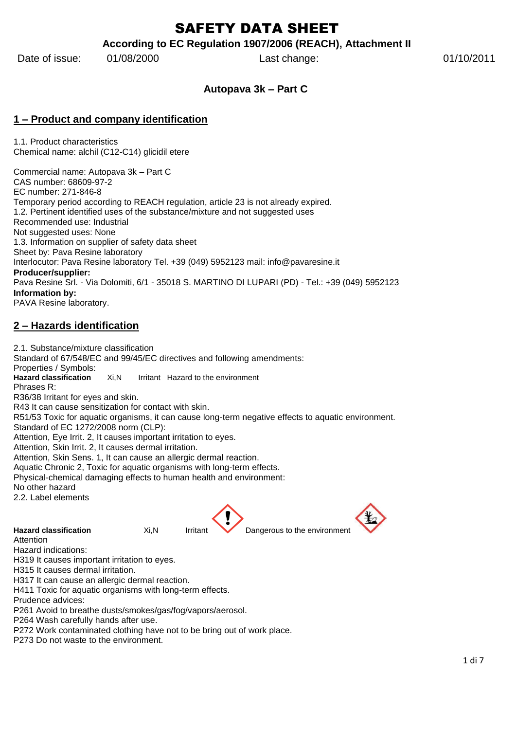# SAFETY DATA SHEET

#### **According to EC Regulation 1907/2006 (REACH), Attachment II**

Date of issue: 01/08/2000 Last change: 01/10/2011

#### **Autopava 3k – Part C**

#### **1 – Product and company identification**

1.1. Product characteristics Chemical name: alchil (C12-C14) glicidil etere

Commercial name: Autopava 3k – Part C CAS number: 68609-97-2 EC number: 271-846-8 Temporary period according to REACH regulation, article 23 is not already expired. 1.2. Pertinent identified uses of the substance/mixture and not suggested uses Recommended use: Industrial Not suggested uses: None 1.3. Information on supplier of safety data sheet Sheet by: Pava Resine laboratory Interlocutor: Pava Resine laboratory Tel. +39 (049) 5952123 mail: info@pavaresine.it **Producer/supplier:** Pava Resine Srl. - Via Dolomiti, 6/1 - 35018 S. MARTINO DI LUPARI (PD) - Tel.: +39 (049) 5952123 **Information by:** PAVA Resine laboratory.

## **2 – Hazards identification**

2.1. Substance/mixture classification Standard of 67/548/EC and 99/45/EC directives and following amendments: Properties / Symbols:<br>Hazard classification **Hazard classification** Xi,N Irritant Hazard to the environment Phrases R: R36/38 Irritant for eyes and skin. R43 It can cause sensitization for contact with skin. R51/53 Toxic for aquatic organisms, it can cause long-term negative effects to aquatic environment. Standard of EC 1272/2008 norm (CLP): Attention, Eye Irrit. 2, It causes important irritation to eyes. Attention, Skin Irrit. 2, It causes dermal irritation. Attention, Skin Sens. 1, It can cause an allergic dermal reaction. Aquatic Chronic 2, Toxic for aquatic organisms with long-term effects. Physical-chemical damaging effects to human health and environment: No other hazard 2.2. Label elements **Hazard classification** Xi.N Irritant Dangerous to the environment Attention Hazard indications: H319 It causes important irritation to eyes. H315 It causes dermal irritation. H317 It can cause an allergic dermal reaction. H411 Toxic for aquatic organisms with long-term effects. Prudence advices:

P261 Avoid to breathe dusts/smokes/gas/fog/vapors/aerosol.

P264 Wash carefully hands after use.

P272 Work contaminated clothing have not to be bring out of work place.

P273 Do not waste to the environment.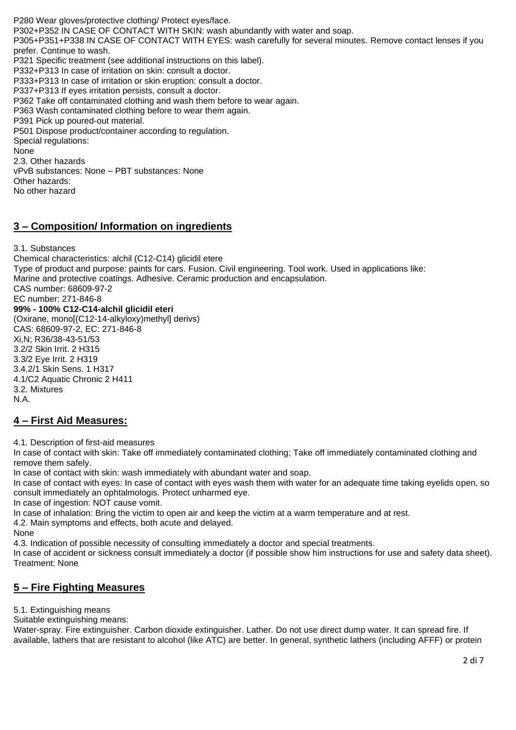P280 Wear gloves/protective clothing/ Protect eyes/face. P302+P352 IN CASE OF CONTACT WITH SKIN: wash abundantly with water and soap. P305+P351+P338 IN CASE OF CONTACT WITH EYES: wash carefully for several minutes. Remove contact lenses if you prefer. Continue to wash. P321 Specific treatment (see additional instructions on this label). P332+P313 In case of irritation on skin: consult a doctor. P333+P313 In case of irritation or skin eruption: consult a doctor. P337+P313 If eyes irritation persists, consult a doctor. P362 Take off contaminated clothing and wash them before to wear again. P363 Wash contaminated clothing before to wear them again. P391 Pick up poured-out material. P501 Dispose product/container according to regulation. Special regulations: None 2.3. Other hazards vPvB substances: None – PBT substances: None

Other hazards:

#### No other hazard

#### **3 – Composition/ Information on ingredients**

3.1. Substances

Chemical characteristics: alchil (C12-C14) glicidil etere Type of product and purpose: paints for cars. Fusion. Civil engineering. Tool work. Used in applications like: Marine and protective coatings. Adhesive. Ceramic production and encapsulation. CAS number: 68609-97-2 EC number: 271-846-8 **99% - 100% C12-C14-alchil glicidil eteri** (Oxirane, mono[(C12-14-alkyloxy)methyl] derivs) CAS: 68609-97-2, EC: 271-846-8 Xi,N; R36/38-43-51/53 3.2/2 Skin Irrit. 2 H315 3.3/2 Eye Irrit. 2 H319 3.4.2/1 Skin Sens. 1 H317 4.1/C2 Aquatic Chronic 2 H411 3.2. Mixtures N.A.

#### **4 – First Aid Measures:**

4.1. Description of first-aid measures

In case of contact with skin: Take off immediately contaminated clothing; Take off immediately contaminated clothing and remove them safely.

In case of contact with skin: wash immediately with abundant water and soap.

In case of contact with eyes: In case of contact with eyes wash them with water for an adequate time taking eyelids open, so consult immediately an ophtalmologis. Protect unharmed eye.

In case of ingestion: NOT cause vomit.

In case of inhalation: Bring the victim to open air and keep the victim at a warm temperature and at rest.

4.2. Main symptoms and effects, both acute and delayed.

None

4.3. Indication of possible necessity of consulting immediately a doctor and special treatments.

In case of accident or sickness consult immediately a doctor (if possible show him instructions for use and safety data sheet). Treatment: None

#### **5 – Fire Fighting Measures**

5.1. Extinguishing means

Suitable extinguishing means:

Water-spray. Fire extinguisher. Carbon dioxide extinguisher. Lather. Do not use direct dump water. It can spread fire. If available, lathers that are resistant to alcohol (like ATC) are better. In general, synthetic lathers (including AFFF) or protein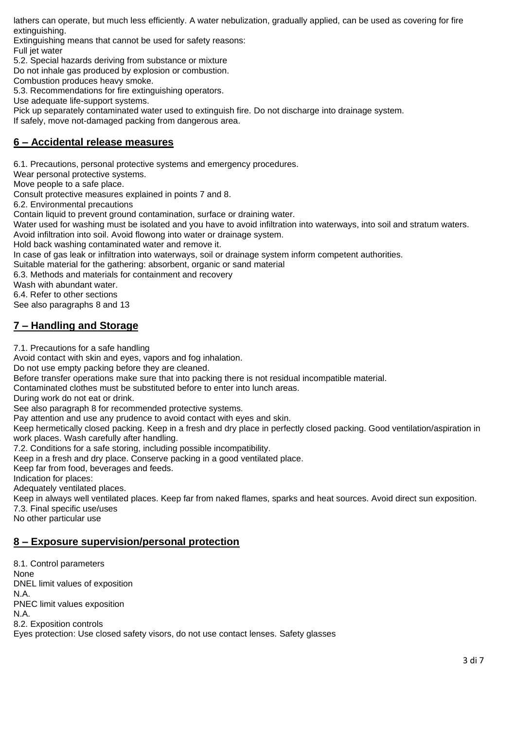lathers can operate, but much less efficiently. A water nebulization, gradually applied, can be used as covering for fire extinguishing.

Extinguishing means that cannot be used for safety reasons: Full jet water

5.2. Special hazards deriving from substance or mixture

Do not inhale gas produced by explosion or combustion.

Combustion produces heavy smoke.

5.3. Recommendations for fire extinguishing operators.

Use adequate life-support systems.

Pick up separately contaminated water used to extinguish fire. Do not discharge into drainage system.

If safely, move not-damaged packing from dangerous area.

#### **6 – Accidental release measures**

6.1. Precautions, personal protective systems and emergency procedures.

Wear personal protective systems.

Move people to a safe place.

Consult protective measures explained in points 7 and 8.

6.2. Environmental precautions

Contain liquid to prevent ground contamination, surface or draining water.

Water used for washing must be isolated and you have to avoid infiltration into waterways, into soil and stratum waters.

Avoid infiltration into soil. Avoid flowong into water or drainage system.

Hold back washing contaminated water and remove it.

In case of gas leak or infiltration into waterways, soil or drainage system inform competent authorities.

Suitable material for the gathering: absorbent, organic or sand material

6.3. Methods and materials for containment and recovery

Wash with abundant water.

6.4. Refer to other sections

See also paragraphs 8 and 13

#### **7 – Handling and Storage**

7.1. Precautions for a safe handling

Avoid contact with skin and eyes, vapors and fog inhalation.

Do not use empty packing before they are cleaned.

Before transfer operations make sure that into packing there is not residual incompatible material.

Contaminated clothes must be substituted before to enter into lunch areas.

During work do not eat or drink.

See also paragraph 8 for recommended protective systems.

Pay attention and use any prudence to avoid contact with eyes and skin.

Keep hermetically closed packing. Keep in a fresh and dry place in perfectly closed packing. Good ventilation/aspiration in work places. Wash carefully after handling.

7.2. Conditions for a safe storing, including possible incompatibility.

Keep in a fresh and dry place. Conserve packing in a good ventilated place.

Keep far from food, beverages and feeds.

Indication for places:

Adequately ventilated places.

Keep in always well ventilated places. Keep far from naked flames, sparks and heat sources. Avoid direct sun exposition.

7.3. Final specific use/uses

No other particular use

#### **8 – Exposure supervision/personal protection**

8.1. Control parameters None DNEL limit values of exposition N.A. PNEC limit values exposition N.A. 8.2. Exposition controls Eyes protection: Use closed safety visors, do not use contact lenses. Safety glasses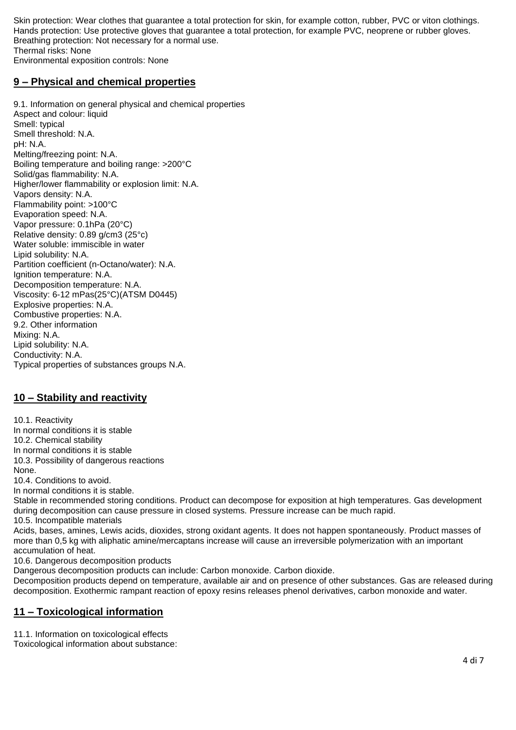Skin protection: Wear clothes that guarantee a total protection for skin, for example cotton, rubber, PVC or viton clothings. Hands protection: Use protective gloves that guarantee a total protection, for example PVC, neoprene or rubber gloves. Breathing protection: Not necessary for a normal use. Thermal risks: None Environmental exposition controls: None

#### **9 – Physical and chemical properties**

9.1. Information on general physical and chemical properties Aspect and colour: liquid Smell: typical Smell threshold: N.A. pH: N.A. Melting/freezing point: N.A. Boiling temperature and boiling range: >200°C Solid/gas flammability: N.A. Higher/lower flammability or explosion limit: N.A. Vapors density: N.A. Flammability point: >100°C Evaporation speed: N.A. Vapor pressure: 0.1hPa (20°C) Relative density: 0.89 g/cm3 (25°c) Water soluble: immiscible in water Lipid solubility: N.A. Partition coefficient (n-Octano/water): N.A. Ignition temperature: N.A. Decomposition temperature: N.A. Viscosity: 6-12 mPas(25°C)(ATSM D0445) Explosive properties: N.A. Combustive properties: N.A. 9.2. Other information Mixing: N.A. Lipid solubility: N.A. Conductivity: N.A. Typical properties of substances groups N.A.

# **10 – Stability and reactivity**

10.1. Reactivity In normal conditions it is stable 10.2. Chemical stability In normal conditions it is stable 10.3. Possibility of dangerous reactions None.

10.4. Conditions to avoid. In normal conditions it is stable.

Stable in recommended storing conditions. Product can decompose for exposition at high temperatures. Gas development during decomposition can cause pressure in closed systems. Pressure increase can be much rapid. 10.5. Incompatible materials

Acids, bases, amines, Lewis acids, dioxides, strong oxidant agents. It does not happen spontaneously. Product masses of more than 0,5 kg with aliphatic amine/mercaptans increase will cause an irreversible polymerization with an important accumulation of heat.

10.6. Dangerous decomposition products

Dangerous decomposition products can include: Carbon monoxide. Carbon dioxide.

Decomposition products depend on temperature, available air and on presence of other substances. Gas are released during decomposition. Exothermic rampant reaction of epoxy resins releases phenol derivatives, carbon monoxide and water.

## **11 – Toxicological information**

11.1. Information on toxicological effects

Toxicological information about substance: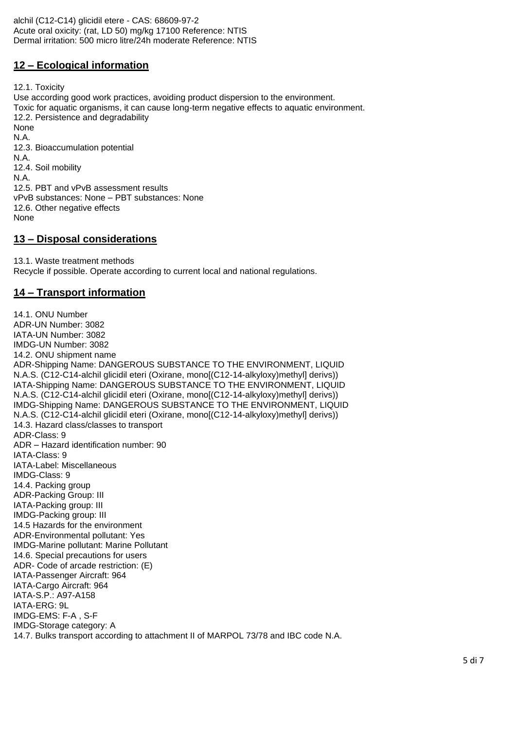alchil (C12-C14) glicidil etere - CAS: 68609-97-2 Acute oral oxicity: (rat, LD 50) mg/kg 17100 Reference: NTIS Dermal irritation: 500 micro litre/24h moderate Reference: NTIS

### **12 – Ecological information**

12.1. Toxicity

Use according good work practices, avoiding product dispersion to the environment. Toxic for aquatic organisms, it can cause long-term negative effects to aquatic environment. 12.2. Persistence and degradability None N.A. 12.3. Bioaccumulation potential N.A. 12.4. Soil mobility N.A. 12.5. PBT and vPvB assessment results vPvB substances: None – PBT substances: None 12.6. Other negative effects None

#### **13 – Disposal considerations**

13.1. Waste treatment methods Recycle if possible. Operate according to current local and national regulations.

#### **14 – Transport information**

14.1. ONU Number ADR-UN Number: 3082 IATA-UN Number: 3082 IMDG-UN Number: 3082 14.2. ONU shipment name ADR-Shipping Name: DANGEROUS SUBSTANCE TO THE ENVIRONMENT, LIQUID N.A.S. (C12-C14-alchil glicidil eteri (Oxirane, mono[(C12-14-alkyloxy)methyl] derivs)) IATA-Shipping Name: DANGEROUS SUBSTANCE TO THE ENVIRONMENT, LIQUID N.A.S. (C12-C14-alchil glicidil eteri (Oxirane, mono[(C12-14-alkyloxy)methyl] derivs)) IMDG-Shipping Name: DANGEROUS SUBSTANCE TO THE ENVIRONMENT, LIQUID N.A.S. (C12-C14-alchil glicidil eteri (Oxirane, mono[(C12-14-alkyloxy)methyl] derivs)) 14.3. Hazard class/classes to transport ADR-Class: 9 ADR – Hazard identification number: 90 IATA-Class: 9 IATA-Label: Miscellaneous IMDG-Class: 9 14.4. Packing group ADR-Packing Group: III IATA-Packing group: III IMDG-Packing group: III 14.5 Hazards for the environment ADR-Environmental pollutant: Yes IMDG-Marine pollutant: Marine Pollutant 14.6. Special precautions for users ADR- Code of arcade restriction: (E) IATA-Passenger Aircraft: 964 IATA-Cargo Aircraft: 964 IATA-S.P.: A97-A158 IATA-ERG: 9L IMDG-EMS: F-A , S-F IMDG-Storage category: A 14.7. Bulks transport according to attachment II of MARPOL 73/78 and IBC code N.A.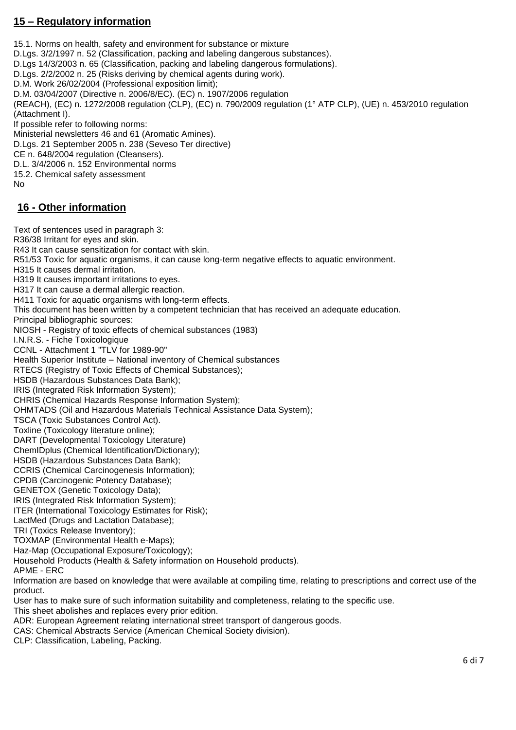## **15 – Regulatory information**

15.1. Norms on health, safety and environment for substance or mixture D.Lgs. 3/2/1997 n. 52 (Classification, packing and labeling dangerous substances). D.Lgs 14/3/2003 n. 65 (Classification, packing and labeling dangerous formulations). D.Lgs. 2/2/2002 n. 25 (Risks deriving by chemical agents during work). D.M. Work 26/02/2004 (Professional exposition limit); D.M. 03/04/2007 (Directive n. 2006/8/EC). (EC) n. 1907/2006 regulation (REACH), (EC) n. 1272/2008 regulation (CLP), (EC) n. 790/2009 regulation (1° ATP CLP), (UE) n. 453/2010 regulation (Attachment I). If possible refer to following norms: Ministerial newsletters 46 and 61 (Aromatic Amines). D.Lgs. 21 September 2005 n. 238 (Seveso Ter directive) CE n. 648/2004 regulation (Cleansers). D.L. 3/4/2006 n. 152 Environmental norms 15.2. Chemical safety assessment No **16 - Other information**

#### Text of sentences used in paragraph 3: R36/38 Irritant for eyes and skin. R43 It can cause sensitization for contact with skin. R51/53 Toxic for aquatic organisms, it can cause long-term negative effects to aquatic environment. H315 It causes dermal irritation. H319 It causes important irritations to eyes. H317 It can cause a dermal allergic reaction. H411 Toxic for aquatic organisms with long-term effects. This document has been written by a competent technician that has received an adequate education. Principal bibliographic sources: NIOSH - Registry of toxic effects of chemical substances (1983) I.N.R.S. - Fiche Toxicologique CCNL - Attachment 1 "TLV for 1989-90" Health Superior Institute – National inventory of Chemical substances RTECS (Registry of Toxic Effects of Chemical Substances); HSDB (Hazardous Substances Data Bank); IRIS (Integrated Risk Information System); CHRIS (Chemical Hazards Response Information System); OHMTADS (Oil and Hazardous Materials Technical Assistance Data System); TSCA (Toxic Substances Control Act). Toxline (Toxicology literature online); DART (Developmental Toxicology Literature) ChemIDplus (Chemical Identification/Dictionary); HSDB (Hazardous Substances Data Bank); CCRIS (Chemical Carcinogenesis Information); CPDB (Carcinogenic Potency Database); GENETOX (Genetic Toxicology Data); IRIS (Integrated Risk Information System); ITER (International Toxicology Estimates for Risk); LactMed (Drugs and Lactation Database); TRI (Toxics Release Inventory); TOXMAP (Environmental Health e-Maps); Haz-Map (Occupational Exposure/Toxicology); Household Products (Health & Safety information on Household products). APME - ERC Information are based on knowledge that were available at compiling time, relating to prescriptions and correct use of the product.

User has to make sure of such information suitability and completeness, relating to the specific use.

This sheet abolishes and replaces every prior edition.

ADR: European Agreement relating international street transport of dangerous goods.

CAS: Chemical Abstracts Service (American Chemical Society division).

CLP: Classification, Labeling, Packing.